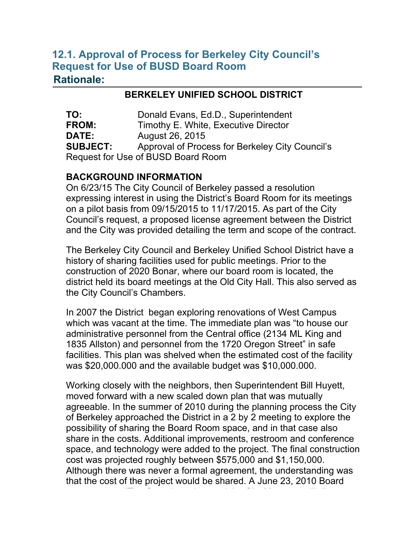## **12.1. Approval of Process for Berkeley City Council's Request for Use of BUSD Board Room Rationale:**

## **BERKELEY UNIFIED SCHOOL DISTRICT**

**TO:** Donald Evans, Ed.D., Superintendent **FROM:** Timothy E. White, Executive Director **DATE:** August 26, 2015 **SUBJECT:** Approval of Process for Berkeley City Council's Request for Use of BUSD Board Room

## **BACKGROUND INFORMATION**

On 6/23/15 The City Council of Berkeley passed a resolution expressing interest in using the District's Board Room for its meetings on a pilot basis from 09/15/2015 to 11/17/2015. As part of the City Council's request, a proposed license agreement between the District and the City was provided detailing the term and scope of the contract.

The Berkeley City Council and Berkeley Unified School District have a history of sharing facilities used for public meetings. Prior to the construction of 2020 Bonar, where our board room is located, the district held its board meetings at the Old City Hall. This also served as the City Council's Chambers.

In 2007 the District began exploring renovations of West Campus which was vacant at the time. The immediate plan was "to house our administrative personnel from the Central office (2134 ML King and 1835 Allston) and personnel from the 1720 Oregon Street" in safe facilities. This plan was shelved when the estimated cost of the facility was \$20,000.000 and the available budget was \$10,000.000.

Working closely with the neighbors, then Superintendent Bill Huyett, moved forward with a new scaled down plan that was mutually agreeable. In the summer of 2010 during the planning process the City of Berkeley approached the District in a 2 by 2 meeting to explore the possibility of sharing the Board Room space, and in that case also share in the costs. Additional improvements, restroom and conference space, and technology were added to the project. The final construction cost was projected roughly between \$575,000 and \$1,150,000. Although there was never a formal agreement, the understanding was that the cost of the project would be shared. A June 23, 2010 Board

memo states, "The Superintendent and the City Manager will discuss